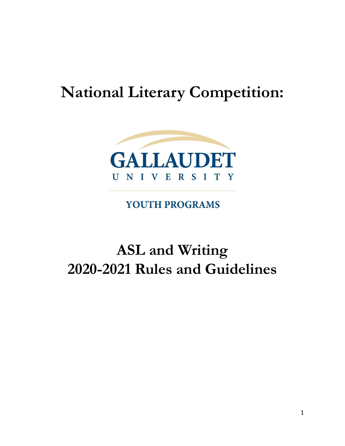# **National Literary Competition:**



YOUTH PROGRAMS

# **ASL and Writing 2020-2021 Rules and Guidelines**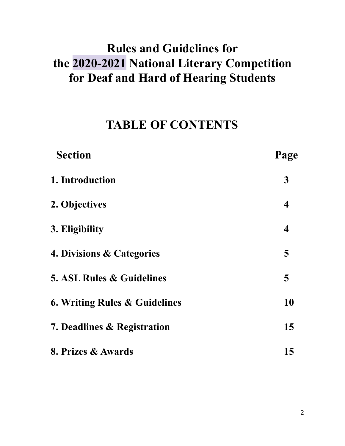# **Rules and Guidelines for the 2020-2021 National Literary Competition for Deaf and Hard of Hearing Students**

## **TABLE OF CONTENTS**

| <b>Section</b>                           | Page                    |
|------------------------------------------|-------------------------|
| 1. Introduction                          | $\mathbf{3}$            |
| 2. Objectives                            | $\overline{\mathbf{4}}$ |
| 3. Eligibility                           | $\overline{\mathbf{4}}$ |
| 4. Divisions & Categories                | 5                       |
| <b>5. ASL Rules &amp; Guidelines</b>     | 5                       |
| <b>6. Writing Rules &amp; Guidelines</b> | 10                      |
| 7. Deadlines & Registration              | 15                      |
| 8. Prizes & Awards                       | 15                      |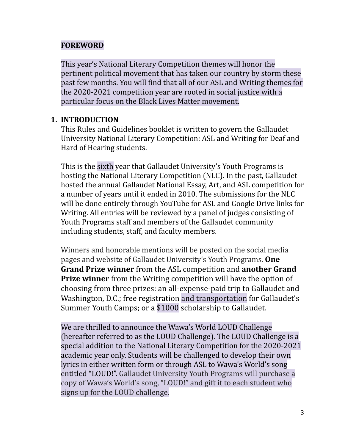#### **FOREWORD**

This year's National Literary Competition themes will honor the pertinent political movement that has taken our country by storm these past few months. You will find that all of our ASL and Writing themes for the 2020-2021 competition year are rooted in social justice with a particular focus on the Black Lives Matter movement.

#### **1. INTRODUCTION**

This Rules and Guidelines booklet is written to govern the Gallaudet University National Literary Competition: ASL and Writing for Deaf and Hard of Hearing students.

This is the sixth year that Gallaudet University's Youth Programs is hosting the National Literary Competition (NLC). In the past, Gallaudet hosted the annual Gallaudet National Essay, Art, and ASL competition for a number of years until it ended in 2010. The submissions for the NLC will be done entirely through YouTube for ASL and Google Drive links for Writing. All entries will be reviewed by a panel of judges consisting of Youth Programs staff and members of the Gallaudet community including students, staff, and faculty members.

Winners and honorable mentions will be posted on the social media pages and website of Gallaudet University's Youth Programs. **One Grand Prize winner** from the ASL competition and **another Grand Prize winner** from the Writing competition will have the option of choosing from three prizes: an all-expense-paid trip to Gallaudet and Washington, D.C.; free registration and transportation for Gallaudet's Summer Youth Camps; or a \$1000 scholarship to Gallaudet.

We are thrilled to announce the Wawa's World LOUD Challenge (hereafter referred to as the LOUD Challenge). The LOUD Challenge is a special addition to the National Literary Competition for the 2020-2021 academic year only. Students will be challenged to develop their own lyrics in either written form or through ASL to Wawa's World's song entitled "LOUD!". Gallaudet University Youth Programs will purchase a copy of Wawa's World's song, "LOUD!" and gift it to each student who signs up for the LOUD challenge.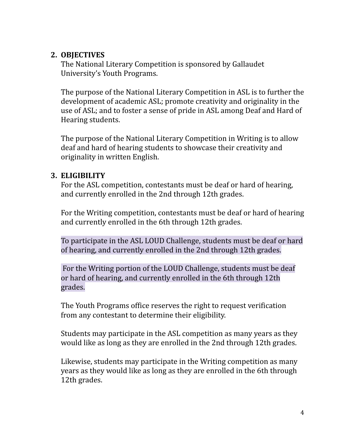#### **2. OBJECTIVES**

The National Literary Competition is sponsored by Gallaudet University's Youth Programs.

The purpose of the National Literary Competition in ASL is to further the development of academic ASL; promote creativity and originality in the use of ASL; and to foster a sense of pride in ASL among Deaf and Hard of Hearing students.

The purpose of the National Literary Competition in Writing is to allow deaf and hard of hearing students to showcase their creativity and originality in written English.

#### **3. ELIGIBILITY**

For the ASL competition, contestants must be deaf or hard of hearing, and currently enrolled in the 2nd through 12th grades.

For the Writing competition, contestants must be deaf or hard of hearing and currently enrolled in the 6th through 12th grades.

To participate in the ASL LOUD Challenge, students must be deaf or hard of hearing, and currently enrolled in the 2nd through 12th grades.

For the Writing portion of the LOUD Challenge, students must be deaf or hard of hearing, and currently enrolled in the 6th through 12th grades.

The Youth Programs office reserves the right to request verification from any contestant to determine their eligibility.

Students may participate in the ASL competition as many years as they would like as long as they are enrolled in the 2nd through 12th grades.

Likewise, students may participate in the Writing competition as many years as they would like as long as they are enrolled in the 6th through 12th grades.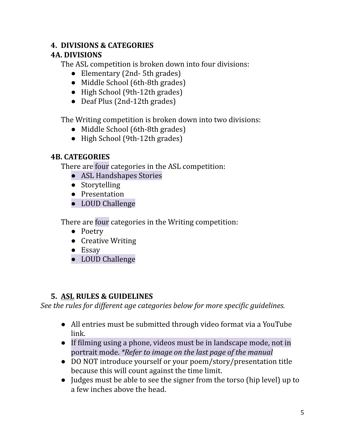#### **4. DIVISIONS & CATEGORIES**

#### **4A. DIVISIONS**

The ASL competition is broken down into four divisions:

- Elementary (2nd-5th grades)
- Middle School (6th-8th grades)
- High School (9th-12th grades)
- Deaf Plus (2nd-12th grades)

The Writing competition is broken down into two divisions:

- Middle School (6th-8th grades)
- High School (9th-12th grades)

#### **4B. CATEGORIES**

There are four categories in the ASL competition:

- ASL Handshapes Stories
- Storytelling
- Presentation
- LOUD Challenge

There are four categories in the Writing competition:

- Poetry
- Creative Writing
- Essay
- LOUD Challenge

#### **5. ASL RULES & GUIDELINES**

*See the rules for dif erent age categories below for more specific guidelines.*

- All entries must be submitted through video format via a YouTube link.
- If filming using a phone, videos must be in landscape mode, not in portrait mode. *\*Refer to image on the last page of the manual*
- DO NOT introduce yourself or your poem/story/presentation title because this will count against the time limit.
- Judges must be able to see the signer from the torso (hip level) up to a few inches above the head.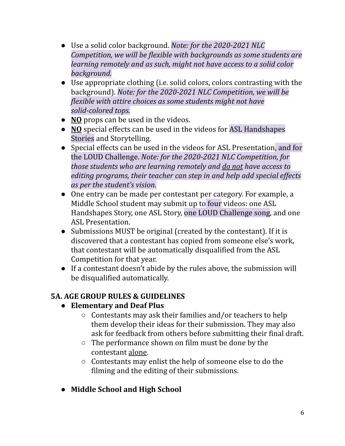- Use a solid color background. *Note: for the 2020-2021 NLC Competition, we will be flexible with backgrounds as some students are learning remotely and as such, might not have access to a solid color background.*
- Use appropriate clothing (i.e. solid colors, colors contrasting with the background). *Note: for the 2020-2021 NLC Competition, we will be flexible with attire choices as some students might not have solid-colored tops.*
- **NO** props can be used in the videos.
- **NO** special effects can be used in the videos for ASL Handshapes Stories and Storytelling.
- Special effects can be used in the videos for ASL Presentation, and for the LOUD Challenge. *Note: for the 2020-2021 NLC Competition, for those students who are learning remotely and do not have access to editing programs, their teacher can step in and help add special ef ects as per the student's vision.*
- One entry can be made per contestant per category. For example, a Middle School student may submit up to four videos: one ASL Handshapes Story, one ASL Story, one LOUD Challenge song, and one ASL Presentation.
- Submissions MUST be original (created by the contestant). If it is discovered that a contestant has copied from someone else's work, that contestant will be automatically disqualified from the ASL Competition for that year.
- If a contestant doesn't abide by the rules above, the submission will be disqualified automatically.

## **5A. AGE GROUP RULES & GUIDELINES**

### **● Elementary and Deaf Plus**

- Contestants may ask their families and/or teachers to help them develop their ideas for their submission. They may also ask for feedback from others before submitting their final draft.
- The performance shown on film must be done by the contestant alone.
- Contestants may enlist the help of someone else to do the filming and the editing of their submissions.
- **● Middle School and High School**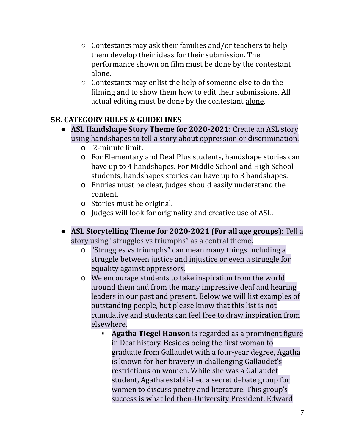- Contestants may ask their families and/or teachers to help them develop their ideas for their submission. The performance shown on film must be done by the contestant alone.
- Contestants may enlist the help of someone else to do the filming and to show them how to edit their submissions. All actual editing must be done by the contestant alone.

#### **5B. CATEGORY RULES & GUIDELINES**

- **● ASL Handshape Story Theme for 2020-2021:** Create an ASL story using handshapes to tell a story about oppression or discrimination.
	- o 2-minute limit.
	- o For Elementary and Deaf Plus students, handshape stories can have up to 4 handshapes. For Middle School and High School students, handshapes stories can have up to 3 handshapes.
	- o Entries must be clear, judges should easily understand the content.
	- o Stories must be original.
	- o Judges will look for originality and creative use of ASL.
- **● ASL Storytelling Theme for 2020-2021 (For all age groups):** Tell a story using "struggles vs triumphs" as a central theme.
	- o "Struggles vs triumphs" can mean many things including a struggle between justice and injustice or even a struggle for equality against oppressors.
	- o We encourage students to take inspiration from the world around them and from the many impressive deaf and hearing leaders in our past and present. Below we will list examples of outstanding people, but please know that this list is not cumulative and students can feel free to draw inspiration from elsewhere.
		- **Agatha Tiegel Hanson** is regarded as a prominent figure in Deaf history. Besides being the first woman to graduate from Gallaudet with a four-year degree, Agatha is known for her bravery in challenging Gallaudet's restrictions on women. While she was a Gallaudet student, Agatha established a secret debate group for women to discuss poetry and literature. This group's success is what led then-University President, Edward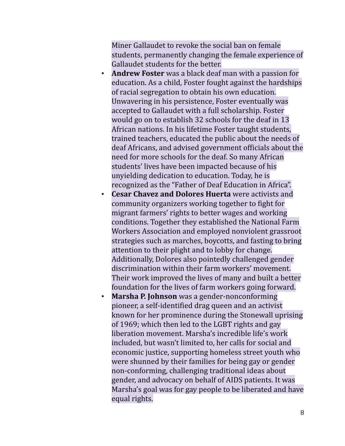Miner Gallaudet to revoke the social ban on female students, permanently changing the female experience of Gallaudet students for the better.

- **Andrew Foster** was a black deaf man with a passion for education. As a child, Foster fought against the hardships of racial segregation to obtain his own education. Unwavering in his persistence, Foster eventually was accepted to Gallaudet with a full scholarship. Foster would go on to establish 32 schools for the deaf in 13 African nations. In his lifetime Foster taught students, trained teachers, educated the public about the needs of deaf Africans, and advised government officials about the need for more schools for the deaf. So many African students' lives have been impacted because of his unyielding dedication to education. Today, he is recognized as the "Father of Deaf Education in Africa".
- **Cesar Chavez and Dolores Huerta** were activists and community organizers working together to fight for migrant farmers' rights to better wages and working conditions. Together they established the National Farm Workers Association and employed nonviolent grassroot strategies such as marches, boycotts, and fasting to bring attention to their plight and to lobby for change. Additionally, Dolores also pointedly challenged gender discrimination within their farm workers' movement. Their work improved the lives of many and built a better foundation for the lives of farm workers going forward.
- **Marsha P. Johnson** was a gender-nonconforming pioneer, a self-identified drag queen and an activist known for her prominence during the Stonewall uprising of 1969; which then led to the LGBT rights and gay liberation movement. Marsha's incredible life's work included, but wasn't limited to, her calls for social and economic justice, supporting homeless street youth who were shunned by their families for being gay or gender non-conforming, challenging traditional ideas about gender, and advocacy on behalf of AIDS patients. It was Marsha's goal was for gay people to be liberated and have equal rights.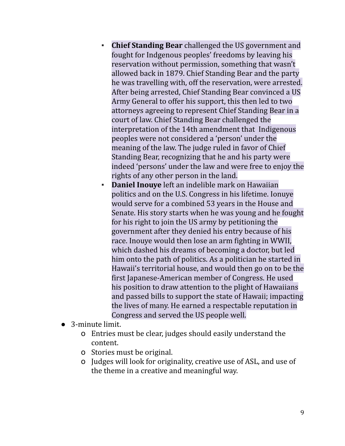- **Chief Standing Bear** challenged the US government and fought for Indgenous peoples' freedoms by leaving his reservation without permission, something that wasn't allowed back in 1879. Chief Standing Bear and the party he was travelling with, off the reservation, were arrested. After being arrested, Chief Standing Bear convinced a US Army General to offer his support, this then led to two attorneys agreeing to represent Chief Standing Bear in a court of law. Chief Standing Bear challenged the interpretation of the 14th amendment that Indigenous peoples were not considered a 'person' under the meaning of the law. The judge ruled in favor of Chief Standing Bear, recognizing that he and his party were indeed 'persons' under the law and were free to enjoy the rights of any other person in the land.
- **Daniel Inouye** left an indelible mark on Hawaiian politics and on the U.S. Congress in his lifetime. Ionuye would serve for a combined 53 years in the House and Senate. His story starts when he was young and he fought for his right to join the US army by petitioning the government after they denied his entry because of his race. Inouye would then lose an arm fighting in WWII, which dashed his dreams of becoming a doctor, but led him onto the path of politics. As a politician he started in Hawaii's territorial house, and would then go on to be the first Japanese-American member of Congress. He used his position to draw attention to the plight of Hawaiians and passed bills to support the state of Hawaii; impacting the lives of many. He earned a respectable reputation in Congress and served the US people well.
- 3-minute limit.
	- o Entries must be clear, judges should easily understand the content.
	- o Stories must be original.
	- o Judges will look for originality, creative use of ASL, and use of the theme in a creative and meaningful way.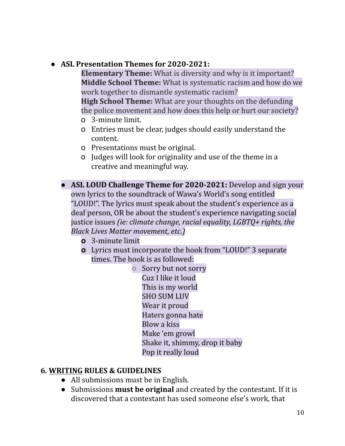#### ● **ASL Presentation Themes for 2020-2021:**

**Elementary Theme:** What is diversity and why is it important? **Middle School Theme:** What is systematic racism and how do we work together to dismantle systematic racism?

**High School Theme:** What are your thoughts on the defunding the police movement and how does this help or hurt our society?

- o 3-minute limit.
- o Entries must be clear, judges should easily understand the content.
- o Presentations must be original.
- o Judges will look for originality and use of the theme in a creative and meaningful way.
- **● ASL LOUD Challenge Theme for 2020-2021:** Develop and sign your own lyrics to the soundtrack of Wawa's World's song entitled "LOUD!". The lyrics must speak about the student's experience as a deaf person, OR be about the student's experience navigating social justice issues *(ie: climate change, racial equality, LGBTQ+ rights, the Black Lives Matter movement, etc.)*
	- **o** 3-minute limit
	- **o** Lyrics must incorporate the hook from "LOUD!" 3 separate times. The hook is as followed:

○ Sorry but not sorry Cuz I like it loud This is my world SHO SUM LUV Wear it proud Haters gonna hate Blow a kiss Make 'em growl Shake it, shimmy, drop it baby Pop it really loud

#### **6. WRITING RULES & GUIDELINES**

- All submissions must be in English.
- Submissions **must be original** and created by the contestant. If it is discovered that a contestant has used someone else's work, that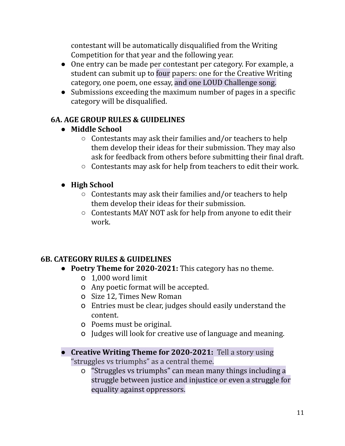contestant will be automatically disqualified from the Writing Competition for that year and the following year.

- One entry can be made per contestant per category. For example, a student can submit up to four papers: one for the Creative Writing category, one poem, one essay, and one LOUD Challenge song.
- Submissions exceeding the maximum number of pages in a specific category will be disqualified.

#### **6A. AGE GROUP RULES & GUIDELINES**

#### **● Middle School**

- $\circ$  Contestants may ask their families and/or teachers to help them develop their ideas for their submission. They may also ask for feedback from others before submitting their final draft.
- Contestants may ask for help from teachers to edit their work.

#### **● High School**

- $\circ$  Contestants may ask their families and/or teachers to help them develop their ideas for their submission.
- Contestants MAY NOT ask for help from anyone to edit their work.

#### **6B. CATEGORY RULES & GUIDELINES**

- **● Poetry Theme for 2020-2021:** This category has no theme.
	- o 1,000 word limit
	- o Any poetic format will be accepted.
	- o Size 12, Times New Roman
	- o Entries must be clear, judges should easily understand the content.
	- o Poems must be original.
	- o Judges will look for creative use of language and meaning.
- **● Creative Writing Theme for 2020-2021:** Tell a story using "struggles vs triumphs" as a central theme.
	- o "Struggles vs triumphs" can mean many things including a struggle between justice and injustice or even a struggle for equality against oppressors.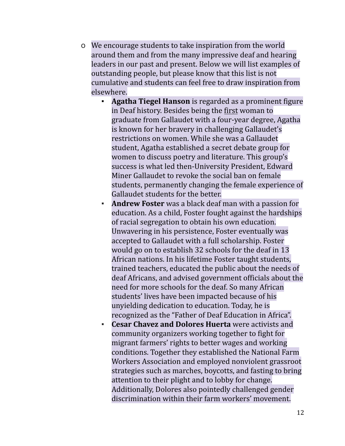- o We encourage students to take inspiration from the world around them and from the many impressive deaf and hearing leaders in our past and present. Below we will list examples of outstanding people, but please know that this list is not cumulative and students can feel free to draw inspiration from elsewhere.
	- **Agatha Tiegel Hanson** is regarded as a prominent figure in Deaf history. Besides being the first woman to graduate from Gallaudet with a four-year degree, Agatha is known for her bravery in challenging Gallaudet's restrictions on women. While she was a Gallaudet student, Agatha established a secret debate group for women to discuss poetry and literature. This group's success is what led then-University President, Edward Miner Gallaudet to revoke the social ban on female students, permanently changing the female experience of Gallaudet students for the better.
	- **Andrew Foster** was a black deaf man with a passion for education. As a child, Foster fought against the hardships of racial segregation to obtain his own education. Unwavering in his persistence, Foster eventually was accepted to Gallaudet with a full scholarship. Foster would go on to establish 32 schools for the deaf in 13 African nations. In his lifetime Foster taught students, trained teachers, educated the public about the needs of deaf Africans, and advised government officials about the need for more schools for the deaf. So many African students' lives have been impacted because of his unyielding dedication to education. Today, he is recognized as the "Father of Deaf Education in Africa".
	- **Cesar Chavez and Dolores Huerta** were activists and community organizers working together to fight for migrant farmers' rights to better wages and working conditions. Together they established the National Farm Workers Association and employed nonviolent grassroot strategies such as marches, boycotts, and fasting to bring attention to their plight and to lobby for change. Additionally, Dolores also pointedly challenged gender discrimination within their farm workers' movement.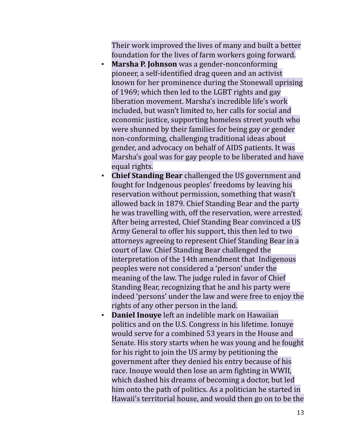Their work improved the lives of many and built a better foundation for the lives of farm workers going forward.

- **Marsha P. Johnson** was a gender-nonconforming pioneer, a self-identified drag queen and an activist known for her prominence during the Stonewall uprising of 1969; which then led to the LGBT rights and gay liberation movement. Marsha's incredible life's work included, but wasn't limited to, her calls for social and economic justice, supporting homeless street youth who were shunned by their families for being gay or gender non-conforming, challenging traditional ideas about gender, and advocacy on behalf of AIDS patients. It was Marsha's goal was for gay people to be liberated and have equal rights.
- **Chief Standing Bear** challenged the US government and fought for Indgenous peoples' freedoms by leaving his reservation without permission, something that wasn't allowed back in 1879. Chief Standing Bear and the party he was travelling with, off the reservation, were arrested. After being arrested, Chief Standing Bear convinced a US Army General to offer his support, this then led to two attorneys agreeing to represent Chief Standing Bear in a court of law. Chief Standing Bear challenged the interpretation of the 14th amendment that Indigenous peoples were not considered a 'person' under the meaning of the law. The judge ruled in favor of Chief Standing Bear, recognizing that he and his party were indeed 'persons' under the law and were free to enjoy the rights of any other person in the land.
- **Daniel Inouye** left an indelible mark on Hawaiian politics and on the U.S. Congress in his lifetime. Ionuye would serve for a combined 53 years in the House and Senate. His story starts when he was young and he fought for his right to join the US army by petitioning the government after they denied his entry because of his race. Inouye would then lose an arm fighting in WWII, which dashed his dreams of becoming a doctor, but led him onto the path of politics. As a politician he started in Hawaii's territorial house, and would then go on to be the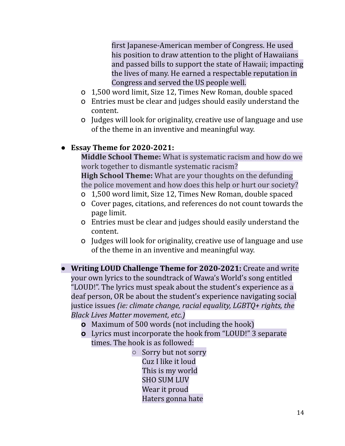first Japanese-American member of Congress. He used his position to draw attention to the plight of Hawaiians and passed bills to support the state of Hawaii; impacting the lives of many. He earned a respectable reputation in Congress and served the US people well.

- o 1,500 word limit, Size 12, Times New Roman, double spaced
- o Entries must be clear and judges should easily understand the content.
- o Judges will look for originality, creative use of language and use of the theme in an inventive and meaningful way.

#### **● Essay Theme for 2020-2021:**

**Middle School Theme:** What is systematic racism and how do we work together to dismantle systematic racism?

**High School Theme:** What are your thoughts on the defunding the police movement and how does this help or hurt our society?

- o 1,500 word limit, Size 12, Times New Roman, double spaced
- o Cover pages, citations, and references do not count towards the page limit.
- o Entries must be clear and judges should easily understand the content.
- o Judges will look for originality, creative use of language and use of the theme in an inventive and meaningful way.
- **● Writing LOUD Challenge Theme for 2020-2021:** Create and write your own lyrics to the soundtrack of Wawa's World's song entitled "LOUD!". The lyrics must speak about the student's experience as a deaf person, OR be about the student's experience navigating social justice issues *(ie: climate change, racial equality, LGBTQ+ rights, the Black Lives Matter movement, etc.)*
	- **o** Maximum of 500 words (not including the hook)
	- **o** Lyrics must incorporate the hook from "LOUD!" 3 separate times. The hook is as followed:

○ Sorry but not sorry Cuz I like it loud This is my world SHO SUM LUV Wear it proud Haters gonna hate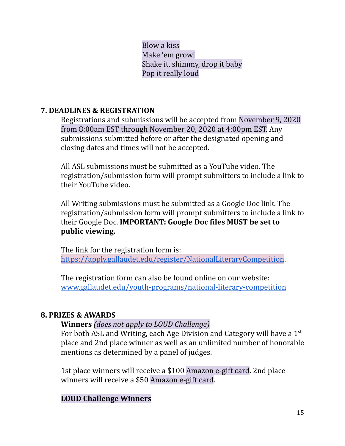Blow a kiss Make 'em growl Shake it, shimmy, drop it baby Pop it really loud

#### **7. DEADLINES & REGISTRATION**

Registrations and submissions will be accepted from November 9, 2020 from 8:00am EST through November 20, 2020 at 4:00pm EST. Any submissions submitted before or after the designated opening and closing dates and times will not be accepted.

All ASL submissions must be submitted as a YouTube video. The registration/submission form will prompt submitters to include a link to their YouTube video.

All Writing submissions must be submitted as a Google Doc link. The registration/submission form will prompt submitters to include a link to their Google Doc. **IMPORTANT: Google Doc files MUST be set to public viewing.**

The link for the registration form is: [https://apply.gallaudet.edu/register/NationalLiteraryCompetition.](https://apply.gallaudet.edu/register/NationalLiteraryCompetition)

The registration form can also be found online on our website: [www.gallaudet.edu/youth-programs/national-literary-competition](http://www.gallaudet.edu/youth-programs/national-literary-competition)

#### **8. PRIZES & AWARDS**

#### **Winners** *(does not apply to LOUD Challenge)*

For both ASL and Writing, each Age Division and Category will have a 1st place and 2nd place winner as well as an unlimited number of honorable mentions as determined by a panel of judges.

1st place winners will receive a \$100 Amazon e-gift card. 2nd place winners will receive a \$50 Amazon e-gift card.

#### **LOUD Challenge Winners**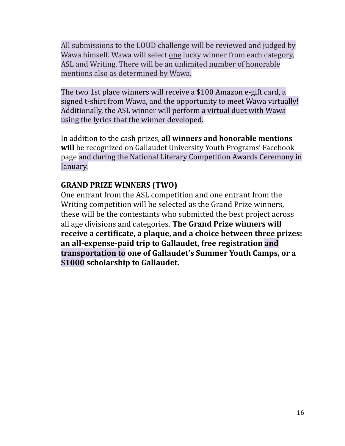All submissions to the LOUD challenge will be reviewed and judged by Wawa himself. Wawa will select one lucky winner from each category, ASL and Writing. There will be an unlimited number of honorable mentions also as determined by Wawa.

The two 1st place winners will receive a \$100 Amazon e-gift card, a signed t-shirt from Wawa, and the opportunity to meet Wawa virtually! Additionally, the ASL winner will perform a virtual duet with Wawa using the lyrics that the winner developed.

In addition to the cash prizes, **all winners and honorable mentions will** be recognized on Gallaudet University Youth Programs' Facebook page and during the National Literary Competition Awards Ceremony in January.

#### **GRAND PRIZE WINNERS (TWO)**

One entrant from the ASL competition and one entrant from the Writing competition will be selected as the Grand Prize winners, these will be the contestants who submitted the best project across all age divisions and categories. **The Grand Prize winners will receive a certificate, a plaque, and a choice between three prizes: an all-expense-paid trip to Gallaudet, free registration and transportation to one of Gallaudet's Summer Youth Camps, or a \$1000 scholarship to Gallaudet.**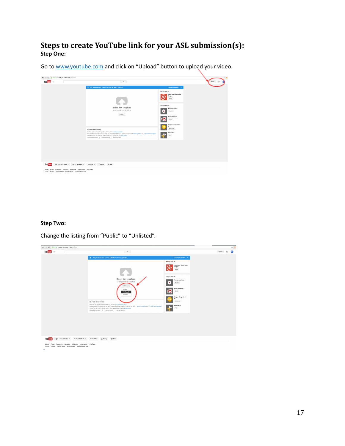#### **Steps to create YouTube link for your ASL submission(s): Step One:**

Go to [www.youtube.com](http://www.youtube.com) and click on "Upload" button to upload your video.

| ← → C & https://www.youtube.com/upload<br>You Tube $=$                                                                                                                                            | Q                                                                                                                                                                                                                                                                                                                                                                                                                                                                                                     |                                                                                                                                                                                                                                                              | $\otimes$ =<br>Uploed |
|---------------------------------------------------------------------------------------------------------------------------------------------------------------------------------------------------|-------------------------------------------------------------------------------------------------------------------------------------------------------------------------------------------------------------------------------------------------------------------------------------------------------------------------------------------------------------------------------------------------------------------------------------------------------------------------------------------------------|--------------------------------------------------------------------------------------------------------------------------------------------------------------------------------------------------------------------------------------------------------------|-----------------------|
|                                                                                                                                                                                                   | y Did you know you can set defaults for future uploads?<br>Select files to upload<br>Or drag and drop video files<br>Public v<br>HELP AND SUGGESTIONS<br>Want to upload videos longer than 15 minutes? Increase your limit<br>By submitting your videos to YouTube, you acknowledge that you agree to YouTube's Terms of Service and Community Guidelines.<br>Please be oure not to violate others' copyright or privacy rights. Learn more<br>Uptost instructions   Troubleshooting   Mobile uptosts | Configure defaults 3<br><b>IMPORT VIDEOS</b><br>Import your videos from<br>Cooghr+<br>Inpot<br><b>CREATE VIDEOS</b><br>Webcam capture<br>Record<br>٠<br>Photo stickrations<br>Oeste<br>Coogle+ Hangouts On<br>Ak<br><b>Droadcard</b><br>Video editor<br>Edit |                       |
| <b>You Tube</b><br>80 Language English *<br>Country: Worldwide =<br>About Press Copyright Creators Advertise Developers .YouTube<br>Terms Princy Policy & Selety Send feedback Try something new! | $@$ Help<br>Safety. Off =<br>$\sqrt{2}$ Hetery                                                                                                                                                                                                                                                                                                                                                                                                                                                        |                                                                                                                                                                                                                                                              |                       |

#### **Step Two:**

Change the listing from "Public" to "Unlisted".

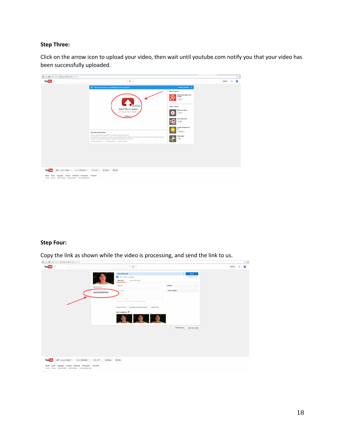#### **Step Three:**

Click on the arrow icon to upload your video, then wait until youtube.com notify you that your video has been successfully uploaded.

| You Tube $=$                             | $\mathbb{Q}$                                                                                                                                                                                                                                                                                                                                 |                                                                      | Upload |  |
|------------------------------------------|----------------------------------------------------------------------------------------------------------------------------------------------------------------------------------------------------------------------------------------------------------------------------------------------------------------------------------------------|----------------------------------------------------------------------|--------|--|
|                                          | Trade of the Value of the Section of the United Sections of the United Sections                                                                                                                                                                                                                                                              | Configure defaults x                                                 |        |  |
|                                          |                                                                                                                                                                                                                                                                                                                                              | <b>IMPORT VIDEOS</b><br>Import your videos from<br>Google*<br>Inport |        |  |
|                                          | No file chosen<br>Select files to upload<br>Or drag and drop video files<br>Unlisted *                                                                                                                                                                                                                                                       | CREATE VIDEOS<br>Webcam capture<br>Record<br>٠                       |        |  |
|                                          |                                                                                                                                                                                                                                                                                                                                              | Photo slideshow<br>Create<br>Google+ Hangouts On                     |        |  |
|                                          | HELP AND SUGGESTIONS                                                                                                                                                                                                                                                                                                                         | Air<br>Broadcast                                                     |        |  |
|                                          | Want to upload videos longer than 15 minutes? Increase your limit<br>By submitting your videos to YouTube, you acknowledge that you agree to YouTube's Terms of Service and Community Guidelines.<br>Please be sure not to violate others' copyright or privacy rights. Learn more<br>Upload instructions   Troubleshooting   Mobile uploads | Video editor<br><b>DI</b>                                            |        |  |
|                                          |                                                                                                                                                                                                                                                                                                                                              |                                                                      |        |  |
|                                          |                                                                                                                                                                                                                                                                                                                                              |                                                                      |        |  |
|                                          |                                                                                                                                                                                                                                                                                                                                              |                                                                      |        |  |
| <b>You Tube</b><br>60 Larguige English * | $\sqrt{2}$ History<br>$@$ help<br>Country: Worldwide =<br>Safety. Off =                                                                                                                                                                                                                                                                      |                                                                      |        |  |

#### **Step Four:**

Copy the link as shown while the video is processing, and send the link to us.

| You Tube $= -$                             |                                                                                                                                |                                                           | Q                                                                                           |                                 | Upload<br>Λ |
|--------------------------------------------|--------------------------------------------------------------------------------------------------------------------------------|-----------------------------------------------------------|---------------------------------------------------------------------------------------------|---------------------------------|-------------|
|                                            |                                                                                                                                |                                                           | <b>PROCESSING DOME</b><br>Cick "Done" to confirm.<br><b>Basic info</b><br>Advanced settings | Done<br>All changes saved.      |             |
|                                            |                                                                                                                                | Upload status:                                            | MakeUp                                                                                      | Unfinited<br>۰                  |             |
|                                            |                                                                                                                                | Your video will be live at:<br>http://youtube/SaDFOF0391E | Description                                                                                 | + Add to playfist               |             |
|                                            |                                                                                                                                |                                                           | Tags (e.g., albert einstein, flying pig, mashup)                                            |                                 |             |
|                                            |                                                                                                                                |                                                           | Suggested tags: + Commetics (Quotation Subject)<br>+ Beauty Tips                            |                                 |             |
|                                            |                                                                                                                                |                                                           | VIDEO THUMBHAILS @<br>3 3 3                                                                 |                                 |             |
|                                            |                                                                                                                                |                                                           |                                                                                             | Video Manager + Add more videos |             |
|                                            |                                                                                                                                |                                                           |                                                                                             |                                 |             |
|                                            |                                                                                                                                |                                                           |                                                                                             |                                 |             |
|                                            |                                                                                                                                |                                                           |                                                                                             |                                 |             |
|                                            |                                                                                                                                |                                                           |                                                                                             |                                 |             |
| You Tube<br><u>R</u> ® Language: English ▼ | Country: Worldwide =                                                                                                           | $\sqrt{2}$ History<br>Safety: Off =                       | $@$ Help                                                                                    |                                 |             |
|                                            | About Press Copyright Creators Advertise Developers +YouTube<br>Terms Privary Policy & Safety Send feedback Try something new! |                                                           |                                                                                             |                                 |             |